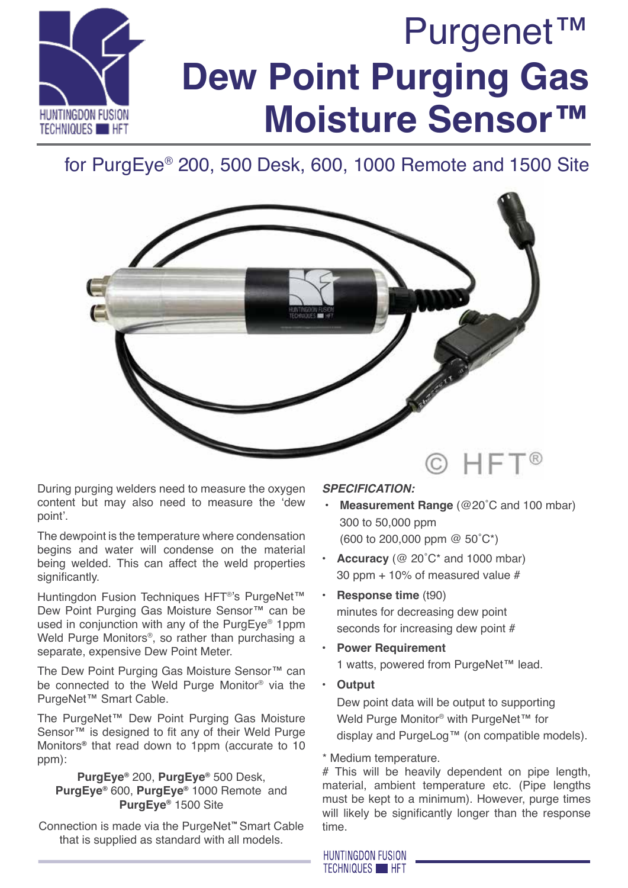

# for PurgEye® 200, 500 Desk, 600, 1000 Remote and 1500 Site



During purging welders need to measure the oxygen content but may also need to measure the 'dew point'.

The dewpoint is the temperature where condensation begins and water will condense on the material being welded. This can affect the weld properties significantly.

Huntingdon Fusion Techniques HFT®'s PurgeNet™ Dew Point Purging Gas Moisture Sensor™ can be used in conjunction with any of the PurgEye® 1ppm Weld Purge Monitors<sup>®</sup>, so rather than purchasing a separate, expensive Dew Point Meter.

The Dew Point Purging Gas Moisture Sensor™ can be connected to the Weld Purge Monitor® via the PurgeNet™ Smart Cable.

The PurgeNet™ Dew Point Purging Gas Moisture Sensor<sup>™</sup> is designed to fit any of their Weld Purge Monitors**®** that read down to 1ppm (accurate to 10 ppm):

**PurgEye®** 200, **PurgEye®** 500 Desk, **PurgEye®** 600, **PurgEye®** 1000 Remote and **PurgEye®** 1500 Site

Connection is made via the PurgeNet**™** Smart Cable that is supplied as standard with all models.

## *SPECIFICATION:*

- **Measurement Range** (@20°C and 100 mbar) 300 to 50,000 ppm (600 to 200,000 ppm @ 50˚C\*)
- **Accuracy** ( $@$  20 $°C^*$  and 1000 mbar) 30 ppm + 10% of measured value #
- **Response time** (t90) minutes for decreasing dew point seconds for increasing dew point #
- **Power Requirement** 1 watts, powered from PurgeNet™ lead.
	- **• Output** Dew point data will be output to supporting Weld Purge Monitor<sup>®</sup> with PurgeNet™ for display and PurgeLog™ (on compatible models).

\* Medium temperature.

# This will be heavily dependent on pipe length, material, ambient temperature etc. (Pipe lengths must be kept to a minimum). However, purge times will likely be significantly longer than the response time.

**HUNTINGDON FUSION TECHNIQUES HET**